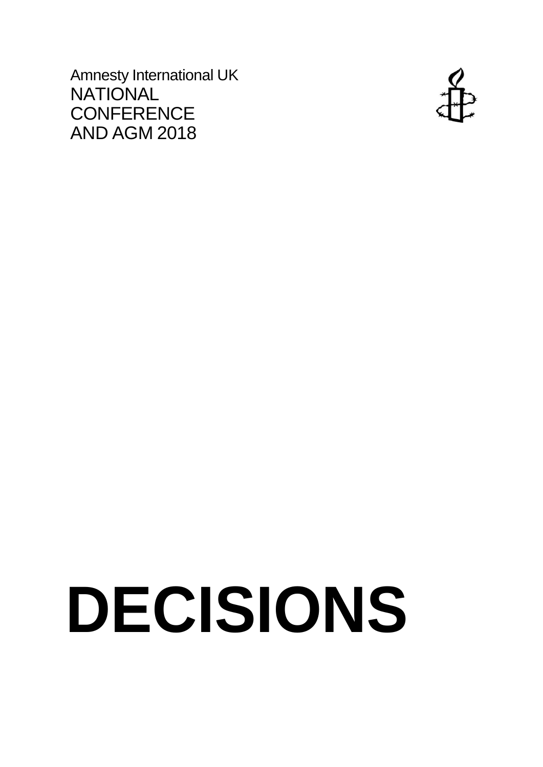Amnesty International UK **NATIONAL CONFERENCE** AND AGM 2018



# **DECISIONS**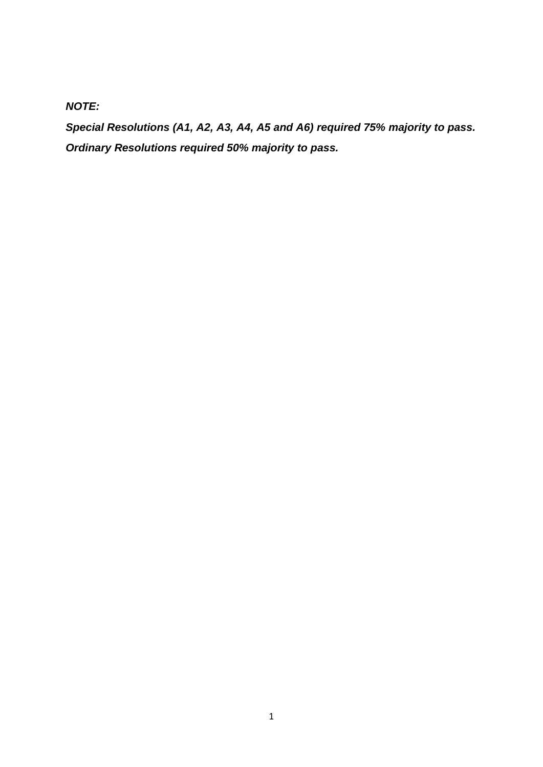# *NOTE:*

*Special Resolutions (A1, A2, A3, A4, A5 and A6) required 75% majority to pass. Ordinary Resolutions required 50% majority to pass.*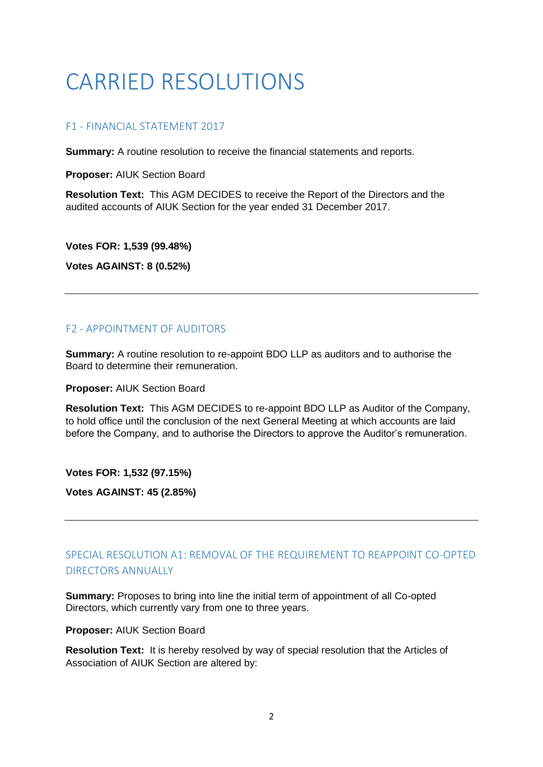# CARRIED RESOLUTIONS

# F1 - FINANCIAL STATEMENT 2017

**Summary:** A routine resolution to receive the financial statements and reports.

**Proposer:** AIUK Section Board

**Resolution Text:** This AGM DECIDES to receive the Report of the Directors and the audited accounts of AIUK Section for the year ended 31 December 2017.

**Votes FOR: 1,539 (99.48%)**

**Votes AGAINST: 8 (0.52%)**

# F2 - APPOINTMENT OF AUDITORS

**Summary:** A routine resolution to re-appoint BDO LLP as auditors and to authorise the Board to determine their remuneration.

**Proposer:** AIUK Section Board

**Resolution Text:** This AGM DECIDES to re-appoint BDO LLP as Auditor of the Company, to hold office until the conclusion of the next General Meeting at which accounts are laid before the Company, and to authorise the Directors to approve the Auditor's remuneration.

**Votes FOR: 1,532 (97.15%)**

**Votes AGAINST: 45 (2.85%)**

# SPECIAL RESOLUTION A1: REMOVAL OF THE REQUIREMENT TO REAPPOINT CO-OPTED DIRECTORS ANNUALLY

**Summary:** Proposes to bring into line the initial term of appointment of all Co-opted Directors, which currently vary from one to three years.

**Proposer:** AIUK Section Board

**Resolution Text:** It is hereby resolved by way of special resolution that the Articles of Association of AIUK Section are altered by: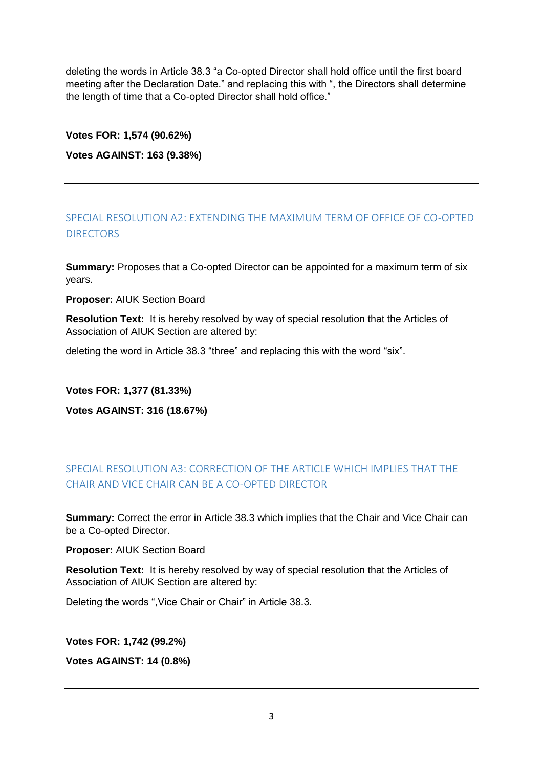deleting the words in Article 38.3 "a Co-opted Director shall hold office until the first board meeting after the Declaration Date." and replacing this with ", the Directors shall determine the length of time that a Co-opted Director shall hold office."

#### **Votes FOR: 1,574 (90.62%)**

#### **Votes AGAINST: 163 (9.38%)**

# SPECIAL RESOLUTION A2: EXTENDING THE MAXIMUM TERM OF OFFICE OF CO-OPTED DIRECTORS

**Summary:** Proposes that a Co-opted Director can be appointed for a maximum term of six years.

**Proposer:** AIUK Section Board

**Resolution Text:** It is hereby resolved by way of special resolution that the Articles of Association of AIUK Section are altered by:

deleting the word in Article 38.3 "three" and replacing this with the word "six".

#### **Votes FOR: 1,377 (81.33%)**

**Votes AGAINST: 316 (18.67%)**

# SPECIAL RESOLUTION A3: CORRECTION OF THE ARTICLE WHICH IMPLIES THAT THE CHAIR AND VICE CHAIR CAN BE A CO-OPTED DIRECTOR

**Summary:** Correct the error in Article 38.3 which implies that the Chair and Vice Chair can be a Co-opted Director.

**Proposer:** AIUK Section Board

**Resolution Text:** It is hereby resolved by way of special resolution that the Articles of Association of AIUK Section are altered by:

Deleting the words ",Vice Chair or Chair" in Article 38.3.

**Votes FOR: 1,742 (99.2%)**

**Votes AGAINST: 14 (0.8%)**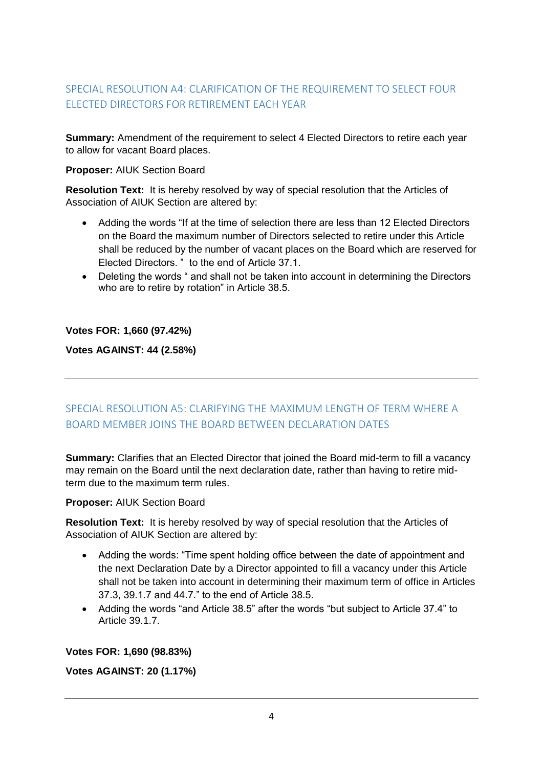# SPECIAL RESOLUTION A4: CLARIFICATION OF THE REQUIREMENT TO SELECT FOUR ELECTED DIRECTORS FOR RETIREMENT EACH YEAR

**Summary:** Amendment of the requirement to select 4 Elected Directors to retire each year to allow for vacant Board places.

#### **Proposer:** AIUK Section Board

**Resolution Text:** It is hereby resolved by way of special resolution that the Articles of Association of AIUK Section are altered by:

- Adding the words "If at the time of selection there are less than 12 Elected Directors on the Board the maximum number of Directors selected to retire under this Article shall be reduced by the number of vacant places on the Board which are reserved for Elected Directors. " to the end of Article 37.1.
- Deleting the words " and shall not be taken into account in determining the Directors who are to retire by rotation" in Article 38.5.

#### **Votes FOR: 1,660 (97.42%)**

**Votes AGAINST: 44 (2.58%)**

# SPECIAL RESOLUTION A5: CLARIFYING THE MAXIMUM LENGTH OF TERM WHERE A BOARD MEMBER JOINS THE BOARD BETWEEN DECLARATION DATES

**Summary:** Clarifies that an Elected Director that joined the Board mid-term to fill a vacancy may remain on the Board until the next declaration date, rather than having to retire midterm due to the maximum term rules.

#### **Proposer:** AIUK Section Board

**Resolution Text:** It is hereby resolved by way of special resolution that the Articles of Association of AIUK Section are altered by:

- Adding the words: "Time spent holding office between the date of appointment and the next Declaration Date by a Director appointed to fill a vacancy under this Article shall not be taken into account in determining their maximum term of office in Articles 37.3, 39.1.7 and 44.7." to the end of Article 38.5.
- Adding the words "and Article 38.5" after the words "but subject to Article 37.4" to Article 39.1.7.

# **Votes FOR: 1,690 (98.83%)**

# **Votes AGAINST: 20 (1.17%)**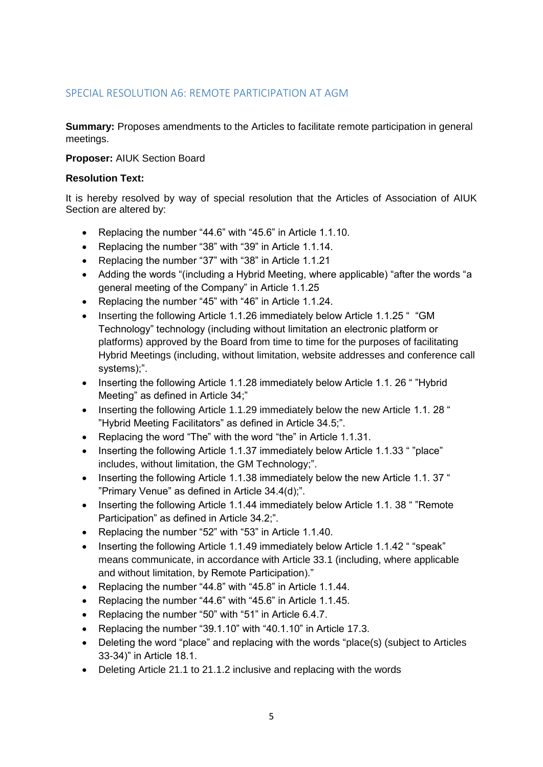# SPECIAL RESOLUTION A6: REMOTE PARTICIPATION AT AGM

**Summary:** Proposes amendments to the Articles to facilitate remote participation in general meetings.

#### **Proposer:** AIUK Section Board

#### **Resolution Text:**

It is hereby resolved by way of special resolution that the Articles of Association of AIUK Section are altered by:

- Replacing the number "44.6" with "45.6" in Article 1.1.10.
- Replacing the number "38" with "39" in Article 1.1.14.
- Replacing the number "37" with "38" in Article 1.1.21
- Adding the words "(including a Hybrid Meeting, where applicable) "after the words "a general meeting of the Company" in Article 1.1.25
- Replacing the number "45" with "46" in Article 1.1.24.
- Inserting the following Article 1.1.26 immediately below Article 1.1.25 " "GM Technology" technology (including without limitation an electronic platform or platforms) approved by the Board from time to time for the purposes of facilitating Hybrid Meetings (including, without limitation, website addresses and conference call systems);".
- Inserting the following Article 1.1.28 immediately below Article 1.1.26 ""Hybrid" Meeting" as defined in Article 34;"
- Inserting the following Article 1.1.29 immediately below the new Article 1.1. 28 " "Hybrid Meeting Facilitators" as defined in Article 34.5;".
- Replacing the word "The" with the word "the" in Article 1.1.31.
- Inserting the following Article 1.1.37 immediately below Article 1.1.33 " "place" includes, without limitation, the GM Technology;".
- Inserting the following Article 1.1.38 immediately below the new Article 1.1. 37 " "Primary Venue" as defined in Article 34.4(d);".
- Inserting the following Article 1.1.44 immediately below Article 1.1. 38 " "Remote" Participation" as defined in Article 34.2;".
- Replacing the number "52" with "53" in Article 1.1.40.
- Inserting the following Article 1.1.49 immediately below Article 1.1.42 " "speak" means communicate, in accordance with Article 33.1 (including, where applicable and without limitation, by Remote Participation)."
- Replacing the number "44.8" with "45.8" in Article 1.1.44.
- Replacing the number "44.6" with "45.6" in Article 1.1.45.
- Replacing the number "50" with "51" in Article 6.4.7.
- Replacing the number "39.1.10" with "40.1.10" in Article 17.3.
- Deleting the word "place" and replacing with the words "place(s) (subject to Articles 33-34)" in Article 18.1.
- Deleting Article 21.1 to 21.1.2 inclusive and replacing with the words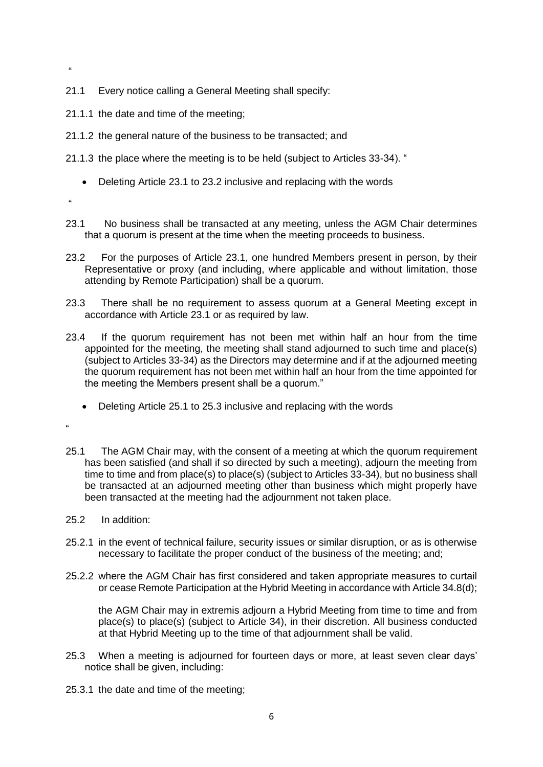- "
- 21.1 Every notice calling a General Meeting shall specify:
- 21.1.1 the date and time of the meeting;
- 21.1.2 the general nature of the business to be transacted; and
- 21.1.3 the place where the meeting is to be held (subject to Articles 33-34). "
	- Deleting Article 23.1 to 23.2 inclusive and replacing with the words
- ""
- 23.1 No business shall be transacted at any meeting, unless the AGM Chair determines that a quorum is present at the time when the meeting proceeds to business.
- 23.2 For the purposes of Article 23.1, one hundred Members present in person, by their Representative or proxy (and including, where applicable and without limitation, those attending by Remote Participation) shall be a quorum.
- 23.3 There shall be no requirement to assess quorum at a General Meeting except in accordance with Article 23.1 or as required by law.
- 23.4 If the quorum requirement has not been met within half an hour from the time appointed for the meeting, the meeting shall stand adjourned to such time and place(s) (subject to Articles 33-34) as the Directors may determine and if at the adjourned meeting the quorum requirement has not been met within half an hour from the time appointed for the meeting the Members present shall be a quorum."
	- Deleting Article 25.1 to 25.3 inclusive and replacing with the words
- $\mu$
- 25.1 The AGM Chair may, with the consent of a meeting at which the quorum requirement has been satisfied (and shall if so directed by such a meeting), adjourn the meeting from time to time and from place(s) to place(s) (subject to Articles 33-34), but no business shall be transacted at an adjourned meeting other than business which might properly have been transacted at the meeting had the adjournment not taken place.
- 25.2 In addition:
- 25.2.1 in the event of technical failure, security issues or similar disruption, or as is otherwise necessary to facilitate the proper conduct of the business of the meeting; and;
- 25.2.2 where the AGM Chair has first considered and taken appropriate measures to curtail or cease Remote Participation at the Hybrid Meeting in accordance with Article 34.8(d);

the AGM Chair may in extremis adjourn a Hybrid Meeting from time to time and from place(s) to place(s) (subject to Article 34), in their discretion. All business conducted at that Hybrid Meeting up to the time of that adjournment shall be valid.

- 25.3 When a meeting is adjourned for fourteen days or more, at least seven clear days' notice shall be given, including:
- 25.3.1 the date and time of the meeting;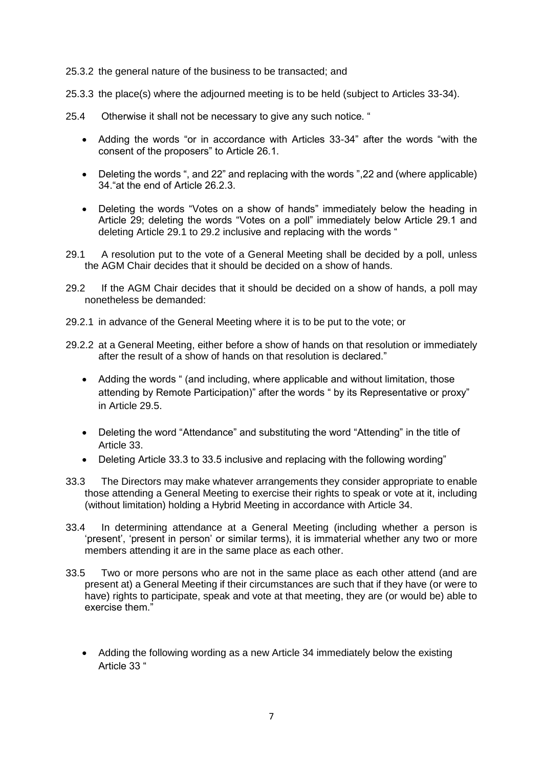- 25.3.2 the general nature of the business to be transacted; and
- 25.3.3 the place(s) where the adjourned meeting is to be held (subject to Articles 33-34).
- 25.4 Otherwise it shall not be necessary to give any such notice. "
	- Adding the words "or in accordance with Articles 33-34" after the words "with the consent of the proposers" to Article 26.1.
	- Deleting the words ", and 22" and replacing with the words ",22 and (where applicable) 34."at the end of Article 26.2.3.
	- Deleting the words "Votes on a show of hands" immediately below the heading in Article 29; deleting the words "Votes on a poll" immediately below Article 29.1 and deleting Article 29.1 to 29.2 inclusive and replacing with the words "
- 29.1 A resolution put to the vote of a General Meeting shall be decided by a poll, unless the AGM Chair decides that it should be decided on a show of hands.
- 29.2 If the AGM Chair decides that it should be decided on a show of hands, a poll may nonetheless be demanded:
- 29.2.1 in advance of the General Meeting where it is to be put to the vote; or
- 29.2.2 at a General Meeting, either before a show of hands on that resolution or immediately after the result of a show of hands on that resolution is declared."
	- Adding the words " (and including, where applicable and without limitation, those attending by Remote Participation)" after the words " by its Representative or proxy" in Article 29.5.
	- Deleting the word "Attendance" and substituting the word "Attending" in the title of Article 33.
	- Deleting Article 33.3 to 33.5 inclusive and replacing with the following wording"
- 33.3 The Directors may make whatever arrangements they consider appropriate to enable those attending a General Meeting to exercise their rights to speak or vote at it, including (without limitation) holding a Hybrid Meeting in accordance with Article 34.
- 33.4 In determining attendance at a General Meeting (including whether a person is 'present', 'present in person' or similar terms), it is immaterial whether any two or more members attending it are in the same place as each other.
- 33.5 Two or more persons who are not in the same place as each other attend (and are present at) a General Meeting if their circumstances are such that if they have (or were to have) rights to participate, speak and vote at that meeting, they are (or would be) able to exercise them."
	- Adding the following wording as a new Article 34 immediately below the existing Article 33 "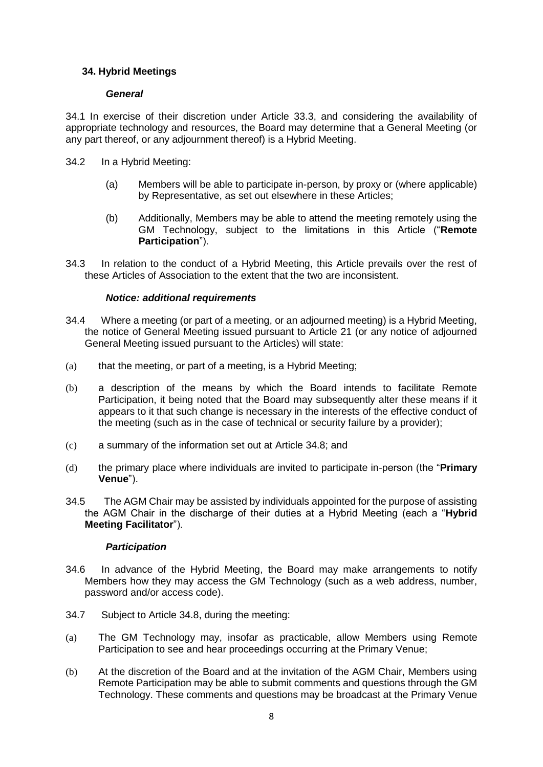#### **34. Hybrid Meetings**

#### *General*

34.1 In exercise of their discretion under Article 33.3, and considering the availability of appropriate technology and resources, the Board may determine that a General Meeting (or any part thereof, or any adjournment thereof) is a Hybrid Meeting.

- 34.2 In a Hybrid Meeting:
	- (a) Members will be able to participate in-person, by proxy or (where applicable) by Representative, as set out elsewhere in these Articles;
	- (b) Additionally, Members may be able to attend the meeting remotely using the GM Technology, subject to the limitations in this Article ("**Remote Participation**").
- 34.3 In relation to the conduct of a Hybrid Meeting, this Article prevails over the rest of these Articles of Association to the extent that the two are inconsistent.

#### *Notice: additional requirements*

- 34.4 Where a meeting (or part of a meeting, or an adjourned meeting) is a Hybrid Meeting, the notice of General Meeting issued pursuant to Article 21 (or any notice of adjourned General Meeting issued pursuant to the Articles) will state:
- $(a)$  that the meeting, or part of a meeting, is a Hybrid Meeting;
- (b) a description of the means by which the Board intends to facilitate Remote Participation, it being noted that the Board may subsequently alter these means if it appears to it that such change is necessary in the interests of the effective conduct of the meeting (such as in the case of technical or security failure by a provider);
- (c) a summary of the information set out at Article 34.8; and
- (d) the primary place where individuals are invited to participate in-person (the "**Primary Venue**").
- 34.5 The AGM Chair may be assisted by individuals appointed for the purpose of assisting the AGM Chair in the discharge of their duties at a Hybrid Meeting (each a "**Hybrid Meeting Facilitator**").

#### *Participation*

- 34.6 In advance of the Hybrid Meeting, the Board may make arrangements to notify Members how they may access the GM Technology (such as a web address, number, password and/or access code).
- 34.7 Subject to Article 34.8, during the meeting:
- (a) The GM Technology may, insofar as practicable, allow Members using Remote Participation to see and hear proceedings occurring at the Primary Venue;
- (b) At the discretion of the Board and at the invitation of the AGM Chair, Members using Remote Participation may be able to submit comments and questions through the GM Technology. These comments and questions may be broadcast at the Primary Venue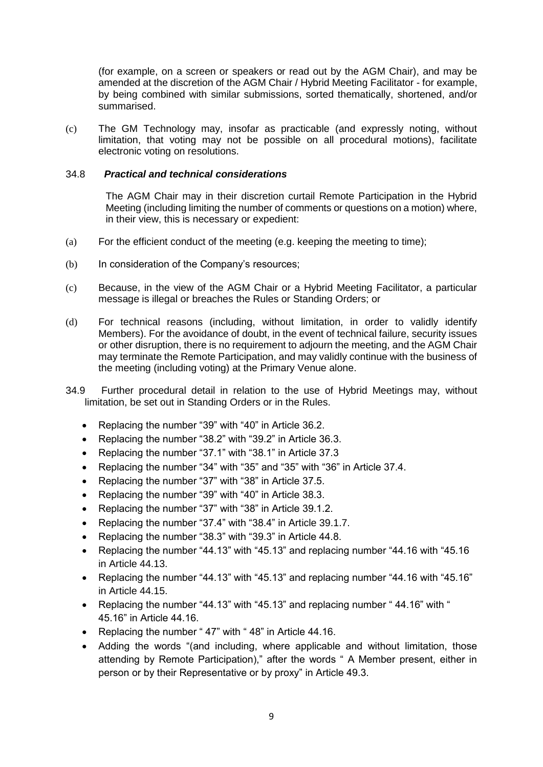(for example, on a screen or speakers or read out by the AGM Chair), and may be amended at the discretion of the AGM Chair / Hybrid Meeting Facilitator - for example, by being combined with similar submissions, sorted thematically, shortened, and/or summarised.

(c) The GM Technology may, insofar as practicable (and expressly noting, without limitation, that voting may not be possible on all procedural motions), facilitate electronic voting on resolutions.

#### 34.8 *Practical and technical considerations*

The AGM Chair may in their discretion curtail Remote Participation in the Hybrid Meeting (including limiting the number of comments or questions on a motion) where, in their view, this is necessary or expedient:

- (a) For the efficient conduct of the meeting (e.g. keeping the meeting to time);
- (b) In consideration of the Company's resources;
- (c) Because, in the view of the AGM Chair or a Hybrid Meeting Facilitator, a particular message is illegal or breaches the Rules or Standing Orders; or
- (d) For technical reasons (including, without limitation, in order to validly identify Members). For the avoidance of doubt, in the event of technical failure, security issues or other disruption, there is no requirement to adjourn the meeting, and the AGM Chair may terminate the Remote Participation, and may validly continue with the business of the meeting (including voting) at the Primary Venue alone.
- 34.9 Further procedural detail in relation to the use of Hybrid Meetings may, without limitation, be set out in Standing Orders or in the Rules.
	- Replacing the number "39" with "40" in Article 36.2.
	- Replacing the number "38.2" with "39.2" in Article 36.3.
	- Replacing the number "37.1" with "38.1" in Article 37.3
	- Replacing the number "34" with "35" and "35" with "36" in Article 37.4.
	- Replacing the number "37" with "38" in Article 37.5.
	- Replacing the number "39" with "40" in Article 38.3.
	- Replacing the number "37" with "38" in Article 39.1.2.
	- Replacing the number "37.4" with "38.4" in Article 39.1.7.
	- Replacing the number "38.3" with "39.3" in Article 44.8.
	- Replacing the number "44.13" with "45.13" and replacing number "44.16 with "45.16 in Article 44.13.
	- Replacing the number "44.13" with "45.13" and replacing number "44.16 with "45.16" in Article 44.15.
	- Replacing the number "44.13" with "45.13" and replacing number " 44.16" with " 45.16" in Article 44.16.
	- Replacing the number "47" with "48" in Article 44.16.
	- Adding the words "(and including, where applicable and without limitation, those attending by Remote Participation)," after the words " A Member present, either in person or by their Representative or by proxy" in Article 49.3.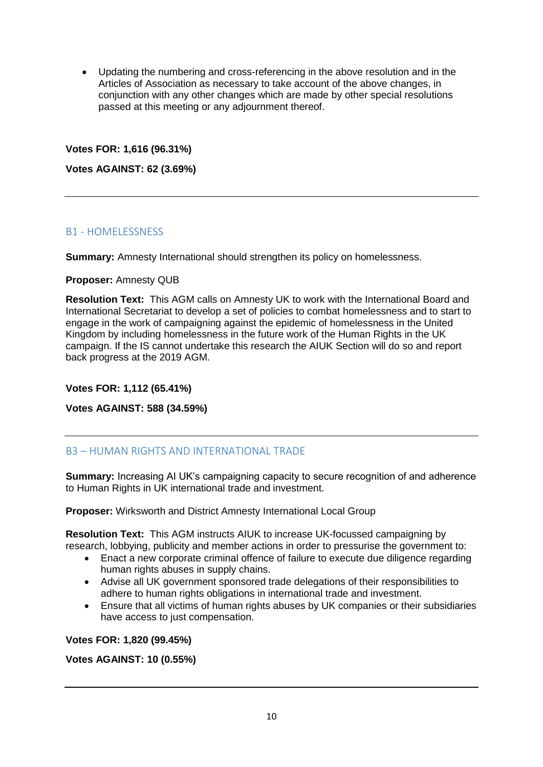Updating the numbering and cross-referencing in the above resolution and in the Articles of Association as necessary to take account of the above changes, in conjunction with any other changes which are made by other special resolutions passed at this meeting or any adjournment thereof.

#### **Votes FOR: 1,616 (96.31%)**

**Votes AGAINST: 62 (3.69%)**

# B1 - HOMELESSNESS

**Summary:** Amnesty International should strengthen its policy on homelessness.

#### **Proposer:** Amnesty QUB

**Resolution Text:** This AGM calls on Amnesty UK to work with the International Board and International Secretariat to develop a set of policies to combat homelessness and to start to engage in the work of campaigning against the epidemic of homelessness in the United Kingdom by including homelessness in the future work of the Human Rights in the UK campaign. If the IS cannot undertake this research the AIUK Section will do so and report back progress at the 2019 AGM.

#### **Votes FOR: 1,112 (65.41%)**

#### **Votes AGAINST: 588 (34.59%)**

# B3 – HUMAN RIGHTS AND INTERNATIONAL TRADE

**Summary:** Increasing AI UK's campaigning capacity to secure recognition of and adherence to Human Rights in UK international trade and investment.

**Proposer:** Wirksworth and District Amnesty International Local Group

**Resolution Text:** This AGM instructs AIUK to increase UK-focussed campaigning by research, lobbying, publicity and member actions in order to pressurise the government to:

- Enact a new corporate criminal offence of failure to execute due diligence regarding human rights abuses in supply chains.
- Advise all UK government sponsored trade delegations of their responsibilities to adhere to human rights obligations in international trade and investment.
- Ensure that all victims of human rights abuses by UK companies or their subsidiaries have access to just compensation.

**Votes FOR: 1,820 (99.45%)**

#### **Votes AGAINST: 10 (0.55%)**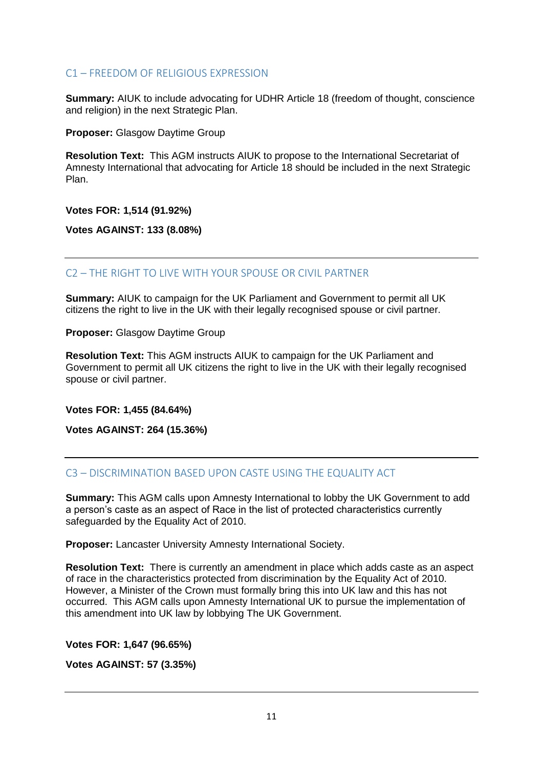#### C1 – FREEDOM OF RELIGIOUS EXPRESSION

**Summary:** AIUK to include advocating for UDHR Article 18 (freedom of thought, conscience and religion) in the next Strategic Plan.

**Proposer:** Glasgow Daytime Group

**Resolution Text:** This AGM instructs AIUK to propose to the International Secretariat of Amnesty International that advocating for Article 18 should be included in the next Strategic Plan.

**Votes FOR: 1,514 (91.92%)**

**Votes AGAINST: 133 (8.08%)**

C2 – THE RIGHT TO LIVE WITH YOUR SPOUSE OR CIVIL PARTNER

**Summary:** AIUK to campaign for the UK Parliament and Government to permit all UK citizens the right to live in the UK with their legally recognised spouse or civil partner.

**Proposer:** Glasgow Daytime Group

**Resolution Text:** This AGM instructs AIUK to campaign for the UK Parliament and Government to permit all UK citizens the right to live in the UK with their legally recognised spouse or civil partner.

**Votes FOR: 1,455 (84.64%)**

**Votes AGAINST: 264 (15.36%)**

# C3 – DISCRIMINATION BASED UPON CASTE USING THE EQUALITY ACT

**Summary:** This AGM calls upon Amnesty International to lobby the UK Government to add a person's caste as an aspect of Race in the list of protected characteristics currently safeguarded by the Equality Act of 2010.

**Proposer:** Lancaster University Amnesty International Society.

**Resolution Text:** There is currently an amendment in place which adds caste as an aspect of race in the characteristics protected from discrimination by the Equality Act of 2010. However, a Minister of the Crown must formally bring this into UK law and this has not occurred. This AGM calls upon Amnesty International UK to pursue the implementation of this amendment into UK law by lobbying The UK Government.

**Votes FOR: 1,647 (96.65%)**

**Votes AGAINST: 57 (3.35%)**